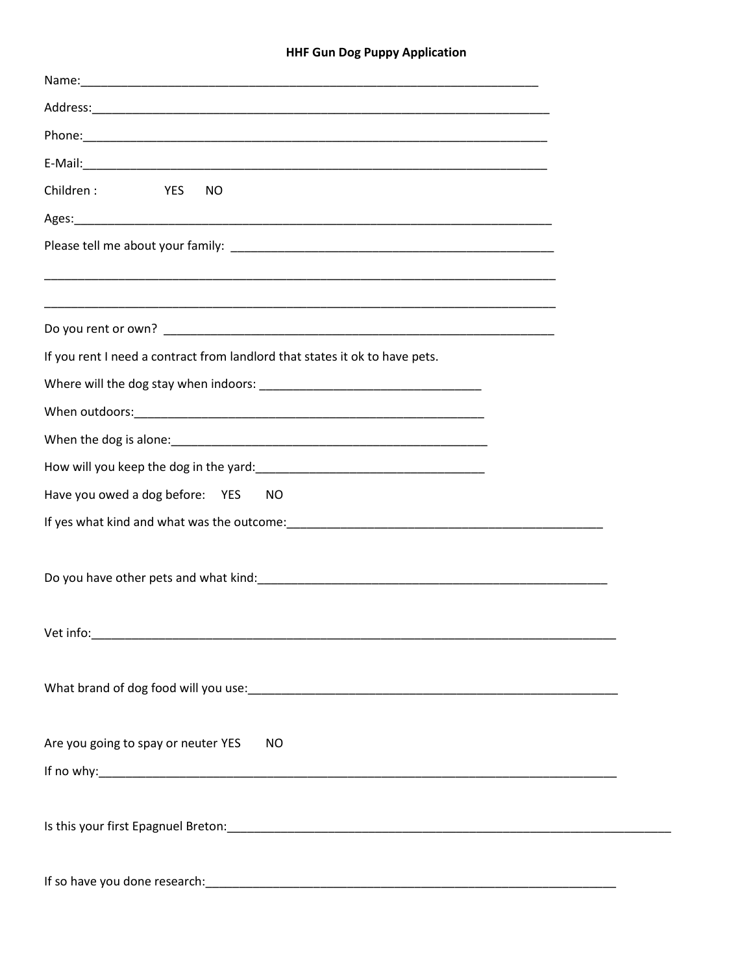## **HHF Gun Dog Puppy Application**

| Children:<br><b>YES</b><br><b>NO</b>                                        |
|-----------------------------------------------------------------------------|
|                                                                             |
|                                                                             |
|                                                                             |
|                                                                             |
|                                                                             |
| If you rent I need a contract from landlord that states it ok to have pets. |
|                                                                             |
|                                                                             |
|                                                                             |
|                                                                             |
| Have you owed a dog before: YES<br>NO.                                      |
|                                                                             |
|                                                                             |
|                                                                             |
|                                                                             |
|                                                                             |
|                                                                             |
|                                                                             |
|                                                                             |
| Are you going to spay or neuter YES<br>NO                                   |
|                                                                             |
|                                                                             |
|                                                                             |
|                                                                             |
|                                                                             |